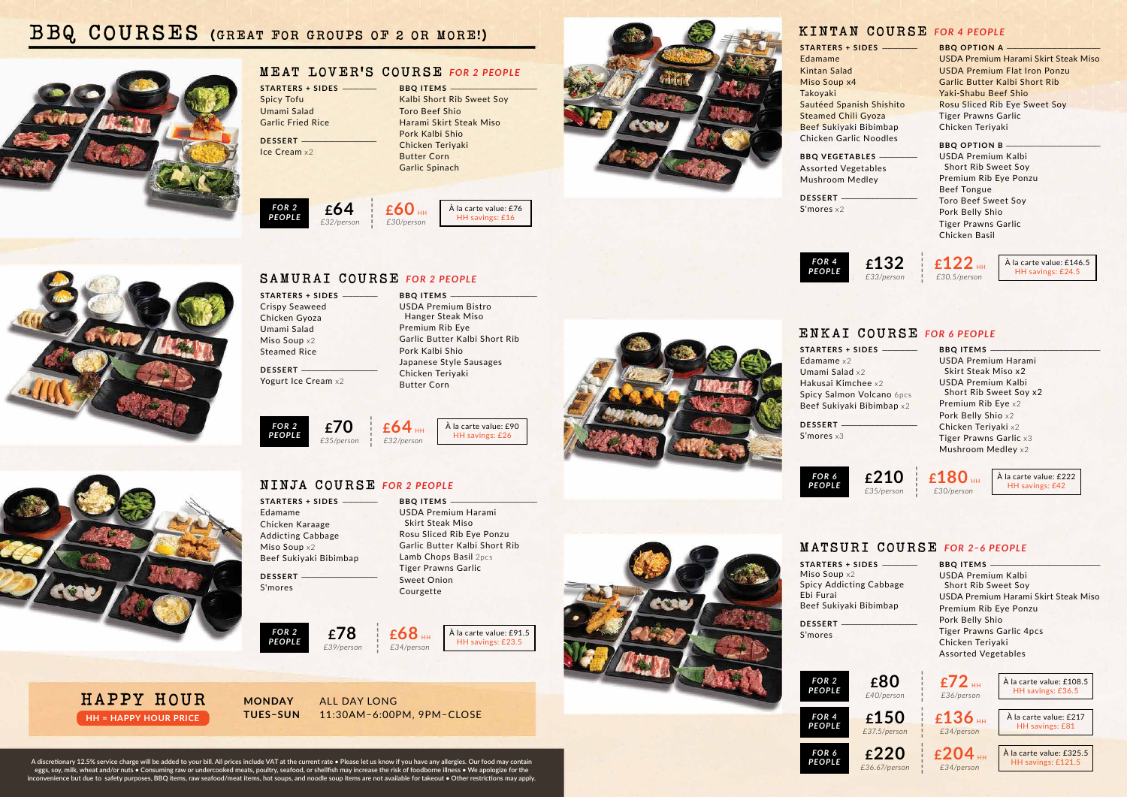**A discretionary 12.5% service charge will be added to your bill. All prices include VAT at the current rate • Please let us know if you have any allergies. Our food may contain eggs, soy, milk, wheat and/or nuts • Consuming raw or undercooked meats, poultry, seafood, or shellfish may increase the risk of foodborne illness • We apologize for the inconvenience but due to safety purposes, BBQ items, raw seafood/meat items, hot soups, and noodle soup items are not available for takeout • Other restrictions may apply.**

## **KINTAN COURSE** *FOR 4 PEOPLE*

**BBQ OPTION B** USDA Premium Kalbi Short Rib Sweet Soy Premium Rib Eye Ponzu Beef Tongue Toro Beef Sweet Soy Pork Belly Shio Tiger Prawns Garlic Chicken Basil

**BBQ OPTION A** ------------------------------------------------------------------------------------------------ USDA Premium Harami Skirt Steak Miso USDA Premium Flat Iron Ponzu Garlic Butter Kalbi Short Rib Yaki-Shabu Beef Shio Rosu Sliced Rib Eye Sweet Soy Tiger Prawns Garlic Chicken Teriyaki

**BBO VEGETABLES** Assorted Vegetables Mushroom Medley

**DESSERT** -S'mores x2

> **BBO ITEMS** USDA Premium Harami Skirt Steak Miso x2 USDA Premium Kalbi Short Rib Sweet Soy x2 Premium Rib Eye x2 Pork Belly Shio x2 Chicken Teriyaki x2 Tiger Prawns Garlic x3 Mushroom Medley x2

**BBO ITEMS** USDA Premium Kalbi Short Rib Sweet Soy USDA Premium Harami Skirt Steak Miso Premium Rib Eye Ponzu Pork Belly Shio Tiger Prawns Garlic 4pcs Chicken Teriyaki Assorted Vegetables

**STARTERS + SIDES** ------------------------------------ Edamame Kintan Salad Miso Soup x4 Takoyaki Sautéed Spanish Shishito Steamed Chili Gyoza Beef Sukiyaki Bibimbap Chicken Garlic Noodles

**DESSERT** S'mores x3

**STARTERS + SIDES** --Miso Soup x2 Spicy Addicting Cabbage Ebi Furai Beef Sukiyaki Bibimbap

**DESSERT** S'mores

## **ENKAI COURSE** *FOR 6 PEOPLE*

**STARTERS + SIDES** -Edamame Chicken Karaage Addicting Cabbage Miso Soup x2 Beef Sukiyaki Bibimbap

DESSERT S'mores

## **MATSURI COURSE** *FOR 2–6 PEOPLE*

**DESSERT** Ice Cream x2



**STARTERS + SIDES** ------------------------------------ Edamame x2 Umami Salad x2 Hakusai Kimchee x2 Spicy Salmon Volcano 6pcs Beef Sukiyaki Bibimbap x2



**£72** HH *£36/person*

















*FOR 4 PEOPLE*







**£180** HH *£30/person*





À la carte value: £222 HH savings: £42

À la carte value: £146.5 HH savings: £24.5

À la carte value: £108.5 HH savings: £36.5

À la carte value: £217 HH savings: £81

À la carte value: £325.5 HH savings: £121.5

USDA Premium Harami



## **NINJA COURSE** *FOR 2 PEOPLE*

**STARTERS + SIDES** ------------------------------------

Crispy Seaweed Chicken Gyoza Umami Salad Miso Soup x<sub>2</sub> Steamed Rice

DESSERT -

Yogurt Ice Cream x2

USDA Premium Bistro Hanger Steak Miso Premium Rib Eye

Garlic Butter Kalbi Short Rib

**BBO ITEMS** 

Pork Kalbi Shio

# Japanese Style Sausages



**SAMURAI COURSE** *FOR 2 PEOPLE*

**STARTERS + SIDES** ----------------------------------- Spicy Tofu Umami Salad Garlic Fried Rice

> Chicken Teriyaki Butter Corn **£64** HH *£32/person* À la carte value: £90 HH savings: £26

## **MEAT LOVER'S COURSE** *FOR 2 PEOPLE*

**BBQ ITEMS** -



*£30/person*

**£68** HH

**£70**

## *£35/person*

**£64** *£32/person FOR 2 PEOPLE*



*FOR 2 PEOPLE*



**BBQ ITEMS** 



HH savings: £16



# **BBQ COURSES (GREAT FOR GROUPS OF 2 OR MORE!)**



**HH = HAPPY HOUR PRICE HAPPY HOUR MONDAY** ALL DAY LONG

**TUES–SUN** 11:30AM–6:00PM, 9PM–CLOSE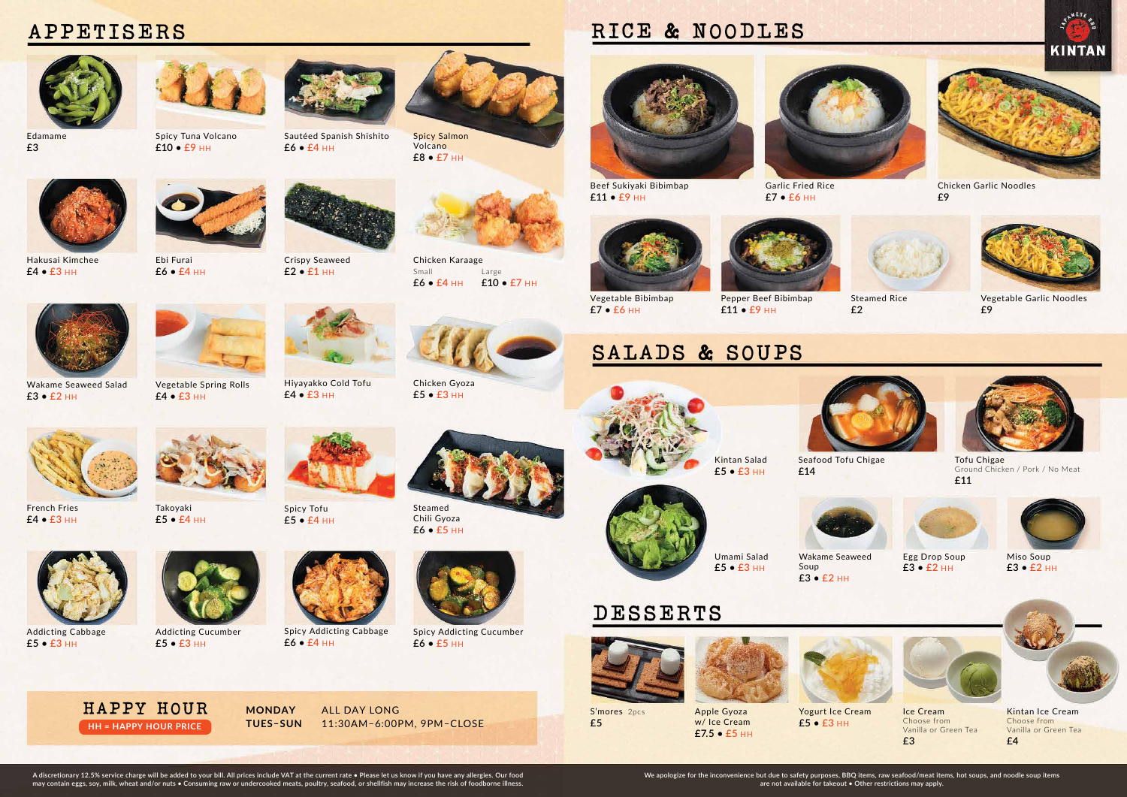



**£7 • £6** HH

Pepper Beef Bibimbap **£11 • £9** HH



Garlic Fried Rice **£7 • £6** HH

Steamed Rice **£2**





Chicken Garlic Noodles **£9**





Vegetable Garlic Noodles **£9**





Kintan Ice Cream Choose from Vanilla or Green Tea **£4**

S'mores 2pcs **£5**

Yogurt Ice Cream **£5 • £3** HH



Ice Cream Choose from Vanilla or Green Tea **£3**







**£7.5 • £5** HH





**£5 • £3** HH

Umami Salad **£5 • £3** HH

Seafood Tofu Chigae **£14** 



Tofu Chigae Ground Chicken / Pork / No Meat **£11**





Wakame Seaweed Soup **£3 • £2** HH



Egg Drop Soup **£3 • £2** HH



Miso Soup **£3 • £2** HH



# **DESSERTS**



# **RICE & NOODLES**



# **SALADS & SOUPS**



Spicy Tuna Volcano **£10 • £9** HH



**£8 • £7** HH



Volcano

Wakame Seaweed Salad

**£3 • £2** HH

Steamed Chili Gyoza **£6 • £5** HH





Takoyaki **£5 • £4** HH



Sautéed Spanish Shishito **£6 • £4** HH



Chicken Karaage Small Large **£6 • £4** HH **£10 • £7** HH

Addicting Cabbage **£5 • £3** HH

Chicken Gyoza **£5 • £3** HH

Addicting Cucumber

**£5 • £3** HH

Hiyayakko Cold Tofu **£4 • £3** HH







Ebi Furai **£6 • £4** HH

Spicy Addicting Cucumber



**£6 • £5** HH

Spicy Tofu **£5 • £4** HH

French Fries **£4 • £3** HH





Crispy Seaweed **£2 • £1** HH



Vegetable Spring Rolls

**£4 • £3** HH



**£6 • £4** HH





# **APPETISERS**



**A discretionary 12.5% service charge will be added to your bill. All prices include VAT at the current rate • Please let us know if you have any allergies. Our food may contain eggs, soy, milk, wheat and/or nuts • Consuming raw or undercooked meats, poultry, seafood, or shellfish may increase the risk of foodborne illness.**

**MONDAY** ALL DAY LONG **TUES–SUN** 11:30AM–6:00PM, 9PM–CLOSE